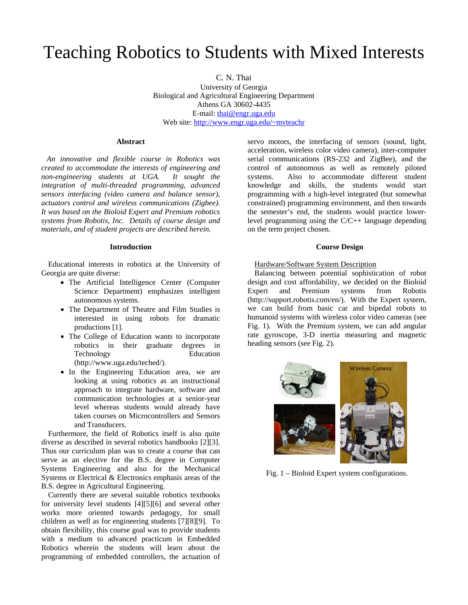# Teaching Robotics to Students with Mixed Interests

C. N. Thai University of Georgia Biological and Agricultural Engineering Department Athens GA 30602-4435 E-mail: thai@engr.uga.edu Web site: http://www.engr.uga.edu/~mvteachr

#### **Abstract**

*An innovative and flexible course in Robotics was created to accommodate the interests of engineering and non-engineering students at UGA. It sought the integration of multi-threaded programming, advanced sensors interfacing (video camera and balance sensor), actuators control and wireless communications (Zigbee). It was based on the Bioloid Expert and Premium robotics systems from Robotis, Inc. Details of course design and materials, and of student projects are described herein.* 

#### **Introduction**

Educational interests in robotics at the University of Georgia are quite diverse:

- The Artificial Intelligence Center (Computer Science Department) emphasizes intelligent autonomous systems.
- The Department of Theatre and Film Studies is interested in using robots for dramatic productions [1].
- The College of Education wants to incorporate robotics in their graduate degrees in Technology Education (http://www.uga.edu/teched/).
- In the Engineering Education area, we are looking at using robotics as an instructional approach to integrate hardware, software and communication technologies at a senior-year level whereas students would already have taken courses on Microcontrollers and Sensors and Transducers.

Furthermore, the field of Robotics itself is also quite diverse as described in several robotics handbooks [2][3]. Thus our curriculum plan was to create a course that can serve as an elective for the B.S. degree in Computer Systems Engineering and also for the Mechanical Systems or Electrical & Electronics emphasis areas of the B.S. degree in Agricultural Engineering.

Currently there are several suitable robotics textbooks for university level students [4][5][6] and several other works more oriented towards pedagogy, for small children as well as for engineering students [7][8][9]. To obtain flexibility, this course goal was to provide students with a medium to advanced practicum in Embedded Robotics wherein the students will learn about the programming of embedded controllers, the actuation of

servo motors, the interfacing of sensors (sound, light, acceleration, wireless color video camera), inter-computer serial communications (RS-232 and ZigBee), and the control of autonomous as well as remotely piloted systems. Also to accommodate different student knowledge and skills, the students would start programming with a high-level integrated (but somewhat constrained) programming environment, and then towards the semester's end, the students would practice lowerlevel programming using the C/C++ language depending on the term project chosen.

#### **Course Design**

## Hardware/Software System Description

Balancing between potential sophistication of robot design and cost affordability, we decided on the Bioloid Expert and Premium systems from Robotis (http://support.robotis.com/en/). With the Expert system, we can build from basic car and bipedal robots to humanoid systems with wireless color video cameras (see Fig. 1). With the Premium system, we can add angular rate gyroscope, 3-D inertia measuring and magnetic heading sensors (see Fig. 2).



Fig. 1 – Bioloid Expert system configurations.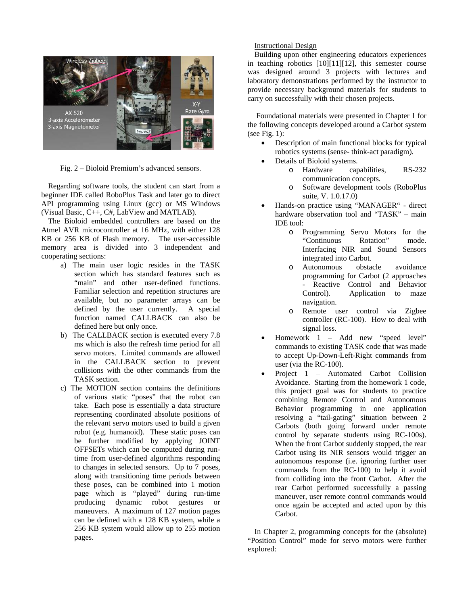

Fig. 2 – Bioloid Premium's advanced sensors.

Regarding software tools, the student can start from a beginner IDE called RoboPlus Task and later go to direct API programming using Linux (gcc) or MS Windows (Visual Basic, C++, C#, LabView and MATLAB).

The Bioloid embedded controllers are based on the Atmel AVR microcontroller at 16 MHz, with either 128 KB or 256 KB of Flash memory. The user-accessible memory area is divided into 3 independent and cooperating sections:

- a) The main user logic resides in the TASK section which has standard features such as "main" and other user-defined functions. Familiar selection and repetition structures are available, but no parameter arrays can be defined by the user currently. A special function named CALLBACK can also be defined here but only once.
- b) The CALLBACK section is executed every 7.8 ms which is also the refresh time period for all servo motors. Limited commands are allowed in the CALLBACK section to prevent collisions with the other commands from the TASK section.
- c) The MOTION section contains the definitions of various static "poses" that the robot can take. Each pose is essentially a data structure representing coordinated absolute positions of the relevant servo motors used to build a given robot (e.g. humanoid). These static poses can be further modified by applying JOINT OFFSETs which can be computed during runtime from user-defined algorithms responding to changes in selected sensors. Up to 7 poses, along with transitioning time periods between these poses, can be combined into 1 motion page which is "played" during run-time producing dynamic robot maneuvers. A maximum of 127 motion pages can be defined with a 128 KB system, while a 256 KB system would allow up to 255 motion pages.

## Instructional Design

Building upon other engineering educators experiences in teaching robotics [10][11][12], this semester course was designed around 3 projects with lectures and laboratory demonstrations performed by the instructor to provide necessary background materials for students to carry on successfully with their chosen projects.

 Foundational materials were presented in Chapter 1 for the following concepts developed around a Carbot system (see Fig. 1):

- Description of main functional blocks for typical robotics systems (sense- think-act paradigm).
- Details of Bioloid systems.
	- o Hardware capabilities, RS-232 communication concepts.
	- o Software development tools (RoboPlus suite, V. 1.0.17.0)
- Hands-on practice using "MANAGER" direct hardware observation tool and "TASK" – main IDE tool:
	- o Programming Servo Motors for the "Continuous Rotation" mode. Interfacing NIR and Sound Sensors integrated into Carbot.
	- o Autonomous obstacle avoidance programming for Carbot (2 approaches - Reactive Control and Behavior Control). Application to maze navigation.
	- o Remote user control via Zigbee controller (RC-100). How to deal with signal loss.
- Homework 1 Add new "speed level" commands to existing TASK code that was made to accept Up-Down-Left-Right commands from user (via the RC-100).
- Project 1 Automated Carbot Collision Avoidance. Starting from the homework 1 code, this project goal was for students to practice combining Remote Control and Autonomous Behavior programming in one application resolving a "tail-gating" situation between 2 Carbots (both going forward under remote control by separate students using RC-100s). When the front Carbot suddenly stopped, the rear Carbot using its NIR sensors would trigger an autonomous response (i.e. ignoring further user commands from the RC-100) to help it avoid from colliding into the front Carbot. After the rear Carbot performed successfully a passing maneuver, user remote control commands would once again be accepted and acted upon by this Carbot.

In Chapter 2, programming concepts for the (absolute) "Position Control" mode for servo motors were further explored: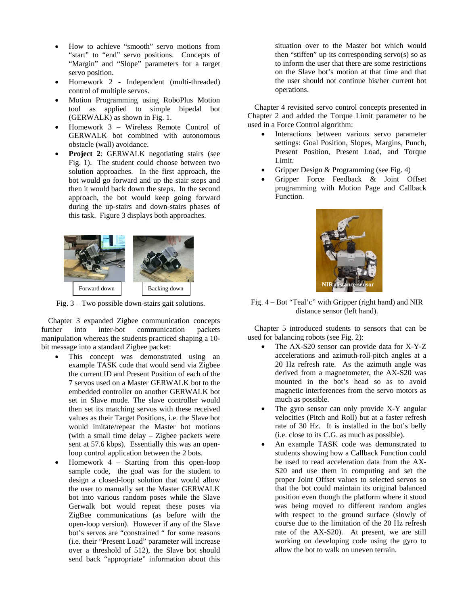- How to achieve "smooth" servo motions from "start" to "end" servo positions. Concepts of "Margin" and "Slope" parameters for a target servo position.
- Homework 2 Independent (multi-threaded) control of multiple servos.
- Motion Programming using RoboPlus Motion tool as applied to simple bipedal bot (GERWALK) as shown in Fig. 1.
- Homework 3 Wireless Remote Control of GERWALK bot combined with autonomous obstacle (wall) avoidance.
- **Project 2**: GERWALK negotiating stairs (see Fig. 1). The student could choose between two solution approaches. In the first approach, the bot would go forward and up the stair steps and then it would back down the steps. In the second approach, the bot would keep going forward during the up-stairs and down-stairs phases of this task. Figure 3 displays both approaches.



Fig. 3 – Two possible down-stairs gait solutions.

Chapter 3 expanded Zigbee communication concepts further into inter-bot communication packets manipulation whereas the students practiced shaping a 10 bit message into a standard Zigbee packet:

- This concept was demonstrated using an example TASK code that would send via Zigbee the current ID and Present Position of each of the 7 servos used on a Master GERWALK bot to the embedded controller on another GERWALK bot set in Slave mode. The slave controller would then set its matching servos with these received values as their Target Positions, i.e. the Slave bot would imitate/repeat the Master bot motions (with a small time delay – Zigbee packets were sent at 57.6 kbps). Essentially this was an openloop control application between the 2 bots.
- Homework 4 Starting from this open-loop sample code, the goal was for the student to design a closed-loop solution that would allow the user to manually set the Master GERWALK bot into various random poses while the Slave Gerwalk bot would repeat these poses via ZigBee communications (as before with the open-loop version). However if any of the Slave bot's servos are "constrained " for some reasons (i.e. their "Present Load" parameter will increase over a threshold of 512), the Slave bot should send back "appropriate" information about this

situation over to the Master bot which would then "stiffen" up its corresponding servo $(s)$  so as to inform the user that there are some restrictions on the Slave bot's motion at that time and that the user should not continue his/her current bot operations.

Chapter 4 revisited servo control concepts presented in Chapter 2 and added the Torque Limit parameter to be used in a Force Control algorithm:

- Interactions between various servo parameter settings: Goal Position, Slopes, Margins, Punch, Present Position, Present Load, and Torque Limit.
- Gripper Design & Programming (see Fig. 4)
- Gripper Force Feedback & Joint Offset programming with Motion Page and Callback Function.



Fig. 4 – Bot "Teal'c" with Gripper (right hand) and NIR distance sensor (left hand).

Chapter 5 introduced students to sensors that can be used for balancing robots (see Fig. 2):

- The AX-S20 sensor can provide data for X-Y-Z accelerations and azimuth-roll-pitch angles at a 20 Hz refresh rate. As the azimuth angle was derived from a magnetometer, the AX-S20 was mounted in the bot's head so as to avoid magnetic interferences from the servo motors as much as possible.
- The gyro sensor can only provide X-Y angular velocities (Pitch and Roll) but at a faster refresh rate of 30 Hz. It is installed in the bot's belly (i.e. close to its C.G. as much as possible).
- An example TASK code was demonstrated to students showing how a Callback Function could be used to read acceleration data from the AX-S20 and use them in computing and set the proper Joint Offset values to selected servos so that the bot could maintain its original balanced position even though the platform where it stood was being moved to different random angles with respect to the ground surface (slowly of course due to the limitation of the 20 Hz refresh rate of the AX-S20). At present, we are still working on developing code using the gyro to allow the bot to walk on uneven terrain.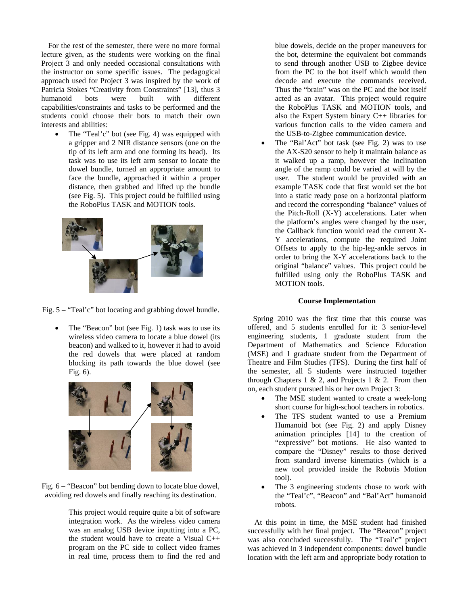For the rest of the semester, there were no more formal lecture given, as the students were working on the final Project 3 and only needed occasional consultations with the instructor on some specific issues. The pedagogical approach used for Project 3 was inspired by the work of Patricia Stokes "Creativity from Constraints" [13], thus 3 humanoid bots were built with different capabilities/constraints and tasks to be performed and the students could choose their bots to match their own interests and abilities:

 The "Teal'c" bot (see Fig. 4) was equipped with a gripper and 2 NIR distance sensors (one on the tip of its left arm and one forming its head). Its task was to use its left arm sensor to locate the dowel bundle, turned an appropriate amount to face the bundle, approached it within a proper distance, then grabbed and lifted up the bundle (see Fig. 5). This project could be fulfilled using the RoboPlus TASK and MOTION tools.



Fig. 5 – "Teal'c" bot locating and grabbing dowel bundle.

 The "Beacon" bot (see Fig. 1) task was to use its wireless video camera to locate a blue dowel (its beacon) and walked to it, however it had to avoid the red dowels that were placed at random blocking its path towards the blue dowel (see Fig. 6).



Fig. 6 – "Beacon" bot bending down to locate blue dowel, avoiding red dowels and finally reaching its destination.

 This project would require quite a bit of software integration work. As the wireless video camera was an analog USB device inputting into a PC, the student would have to create a Visual C++ program on the PC side to collect video frames in real time, process them to find the red and blue dowels, decide on the proper maneuvers for the bot, determine the equivalent bot commands to send through another USB to Zigbee device from the PC to the bot itself which would then decode and execute the commands received. Thus the "brain" was on the PC and the bot itself acted as an avatar. This project would require the RoboPlus TASK and MOTION tools, and also the Expert System binary C++ libraries for various function calls to the video camera and the USB-to-Zigbee communication device.

 The "Bal'Act" bot task (see Fig. 2) was to use the AX-S20 sensor to help it maintain balance as it walked up a ramp, however the inclination angle of the ramp could be varied at will by the user. The student would be provided with an example TASK code that first would set the bot into a static ready pose on a horizontal platform and record the corresponding "balance" values of the Pitch-Roll (X-Y) accelerations. Later when the platform's angles were changed by the user, the Callback function would read the current X-Y accelerations, compute the required Joint Offsets to apply to the hip-leg-ankle servos in order to bring the X-Y accelerations back to the original "balance" values. This project could be fulfilled using only the RoboPlus TASK and MOTION tools.

## **Course Implementation**

Spring 2010 was the first time that this course was offered, and 5 students enrolled for it: 3 senior-level engineering students, 1 graduate student from the Department of Mathematics and Science Education (MSE) and 1 graduate student from the Department of Theatre and Film Studies (TFS). During the first half of the semester, all 5 students were instructed together through Chapters 1 & 2, and Projects 1 & 2. From then on, each student pursued his or her own Project 3:

- The MSE student wanted to create a week-long short course for high-school teachers in robotics.
- The TFS student wanted to use a Premium Humanoid bot (see Fig. 2) and apply Disney animation principles [14] to the creation of "expressive" bot motions. He also wanted to compare the "Disney" results to those derived from standard inverse kinematics (which is a new tool provided inside the Robotis Motion tool).
- The 3 engineering students chose to work with the "Teal'c", "Beacon" and "Bal'Act" humanoid robots.

At this point in time, the MSE student had finished successfully with her final project. The "Beacon" project was also concluded successfully. The "Teal'c" project was achieved in 3 independent components: dowel bundle location with the left arm and appropriate body rotation to